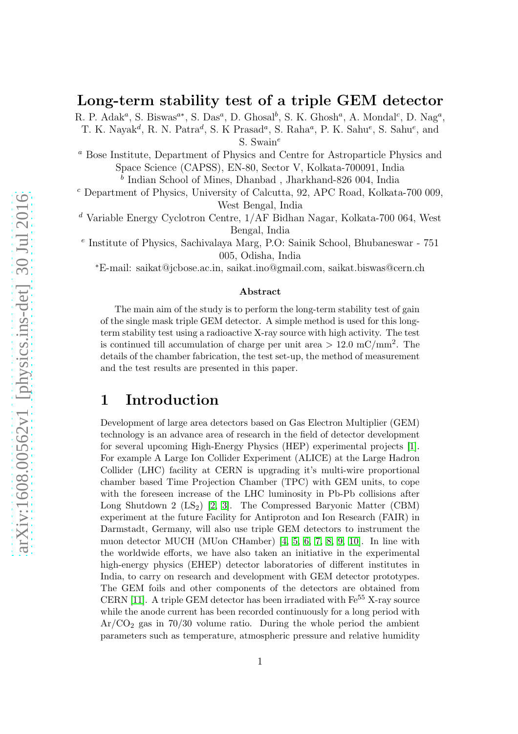#### Long-term stability test of a triple GEM detector

R. P. Adak<sup>a</sup>, S. Biswas<sup>a\*</sup>, S. Das<sup>a</sup>, D. Ghosal<sup>b</sup>, S. K. Ghosh<sup>a</sup>, A. Mondal<sup>c</sup>, D. Nag<sup>a</sup>, T. K. Nayak<sup>d</sup>, R. N. Patra<sup>d</sup>, S. K Prasad<sup>a</sup>, S. Raha<sup>a</sup>, P. K. Sahu<sup>e</sup>, S. Sahu<sup>e</sup>, and S. Swain $^e$ 

<sup>a</sup> Bose Institute, Department of Physics and Centre for Astroparticle Physics and Space Science (CAPSS), EN-80, Sector V, Kolkata-700091, India

 $^b$  Indian School of Mines, Dhanbad, Jharkhand-826 004, India

<sup>c</sup> Department of Physics, University of Calcutta, 92, APC Road, Kolkata-700 009, West Bengal, India

<sup>d</sup> Variable Energy Cyclotron Centre, 1/AF Bidhan Nagar, Kolkata-700 064, West Bengal, India

e Institute of Physics, Sachivalaya Marg, P.O: Sainik School, Bhubaneswar - 751 005, Odisha, India

<sup>∗</sup>E-mail: saikat@jcbose.ac.in, saikat.ino@gmail.com, saikat.biswas@cern.ch

#### Abstract

The main aim of the study is to perform the long-term stability test of gain of the single mask triple GEM detector. A simple method is used for this longterm stability test using a radioactive X-ray source with high activity. The test is continued till accumulation of charge per unit area  $> 12.0$  mC/mm<sup>2</sup>. The details of the chamber fabrication, the test set-up, the method of measurement and the test results are presented in this paper.

### 1 Introduction

Development of large area detectors based on Gas Electron Multiplier (GEM) technology is an advance area of research in the field of detector development for several upcoming High-Energy Physics (HEP) experimental projects [\[1\]](#page-6-0). For example A Large Ion Collider Experiment (ALICE) at the Large Hadron Collider (LHC) facility at CERN is upgrading it's multi-wire proportional chamber based Time Projection Chamber (TPC) with GEM units, to cope with the foreseen increase of the LHC luminosity in Pb-Pb collisions after Long Shutdown 2  $(LS_2)$  [\[2,](#page-6-1) [3\]](#page-6-2). The Compressed Baryonic Matter (CBM) experiment at the future Facility for Antiproton and Ion Research (FAIR) in Darmstadt, Germany, will also use triple GEM detectors to instrument the muon detector MUCH (MUon CHamber) [\[4,](#page-6-3) [5,](#page-6-4) [6,](#page-6-5) [7,](#page-6-6) [8,](#page-6-7) [9,](#page-7-0) [10\]](#page-7-1). In line with the worldwide efforts, we have also taken an initiative in the experimental high-energy physics (EHEP) detector laboratories of different institutes in India, to carry on research and development with GEM detector prototypes. The GEM foils and other components of the detectors are obtained from CERN [\[11\]](#page-7-2). A triple GEM detector has been irradiated with  $Fe<sup>55</sup>$  X-ray source while the anode current has been recorded continuously for a long period with  $Ar/CO<sub>2</sub>$  gas in 70/30 volume ratio. During the whole period the ambient parameters such as temperature, atmospheric pressure and relative humidity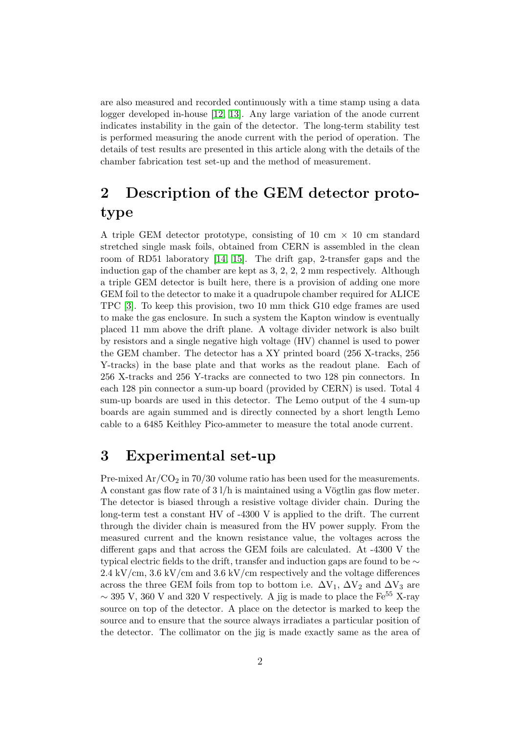are also measured and recorded continuously with a time stamp using a data logger developed in-house [\[12,](#page-7-3) [13\]](#page-7-4). Any large variation of the anode current indicates instability in the gain of the detector. The long-term stability test is performed measuring the anode current with the period of operation. The details of test results are presented in this article along with the details of the chamber fabrication test set-up and the method of measurement.

# 2 Description of the GEM detector prototype

A triple GEM detector prototype, consisting of 10 cm  $\times$  10 cm standard stretched single mask foils, obtained from CERN is assembled in the clean room of RD51 laboratory [\[14,](#page-7-5) [15\]](#page-7-6). The drift gap, 2-transfer gaps and the induction gap of the chamber are kept as 3, 2, 2, 2 mm respectively. Although a triple GEM detector is built here, there is a provision of adding one more GEM foil to the detector to make it a quadrupole chamber required for ALICE TPC [\[3\]](#page-6-2). To keep this provision, two 10 mm thick G10 edge frames are used to make the gas enclosure. In such a system the Kapton window is eventually placed 11 mm above the drift plane. A voltage divider network is also built by resistors and a single negative high voltage (HV) channel is used to power the GEM chamber. The detector has a XY printed board (256 X-tracks, 256 Y-tracks) in the base plate and that works as the readout plane. Each of 256 X-tracks and 256 Y-tracks are connected to two 128 pin connectors. In each 128 pin connector a sum-up board (provided by CERN) is used. Total 4 sum-up boards are used in this detector. The Lemo output of the 4 sum-up boards are again summed and is directly connected by a short length Lemo cable to a 6485 Keithley Pico-ammeter to measure the total anode current.

# 3 Experimental set-up

Pre-mixed  $Ar/CO<sub>2</sub>$  in 70/30 volume ratio has been used for the measurements. A constant gas flow rate of  $3 \frac{1}{h}$  is maintained using a Vögtlin gas flow meter. The detector is biased through a resistive voltage divider chain. During the long-term test a constant HV of -4300 V is applied to the drift. The current through the divider chain is measured from the HV power supply. From the measured current and the known resistance value, the voltages across the different gaps and that across the GEM foils are calculated. At -4300 V the typical electric fields to the drift, transfer and induction gaps are found to be  $\sim$ 2.4 kV/cm, 3.6 kV/cm and 3.6 kV/cm respectively and the voltage differences across the three GEM foils from top to bottom i.e.  $\Delta V_1$ ,  $\Delta V_2$  and  $\Delta V_3$  are ~ 395 V, 360 V and 320 V respectively. A jig is made to place the Fe<sup>55</sup> X-ray source on top of the detector. A place on the detector is marked to keep the source and to ensure that the source always irradiates a particular position of the detector. The collimator on the jig is made exactly same as the area of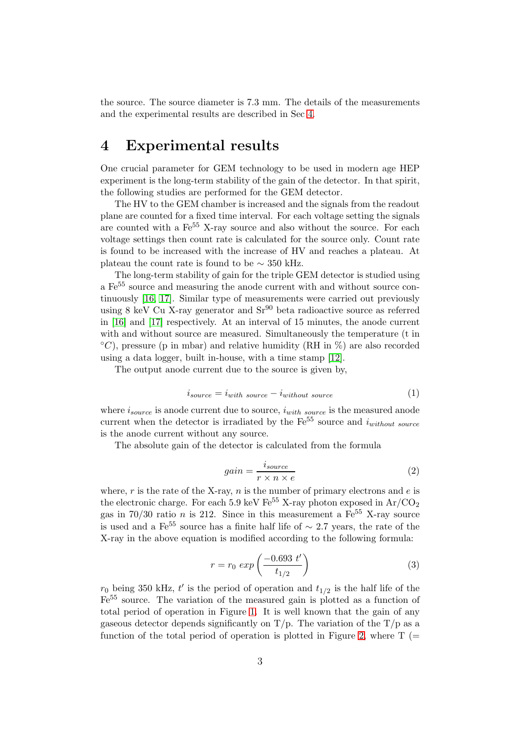the source. The source diameter is 7.3 mm. The details of the measurements and the experimental results are described in Sec [4.](#page-2-0)

# <span id="page-2-0"></span>4 Experimental results

One crucial parameter for GEM technology to be used in modern age HEP experiment is the long-term stability of the gain of the detector. In that spirit, the following studies are performed for the GEM detector.

The HV to the GEM chamber is increased and the signals from the readout plane are counted for a fixed time interval. For each voltage setting the signals are counted with a Fe<sup>55</sup> X-ray source and also without the source. For each voltage settings then count rate is calculated for the source only. Count rate is found to be increased with the increase of HV and reaches a plateau. At plateau the count rate is found to be  $\sim$  350 kHz.

The long-term stability of gain for the triple GEM detector is studied using a Fe<sup>55</sup> source and measuring the anode current with and without source continuously [\[16,](#page-7-7) [17\]](#page-7-8). Similar type of measurements were carried out previously using 8 keV Cu X-ray generator and  $Sr^{90}$  beta radioactive source as referred in [\[16\]](#page-7-7) and [\[17\]](#page-7-8) respectively. At an interval of 15 minutes, the anode current with and without source are measured. Simultaneously the temperature (t in  $°C$ ), pressure (p in mbar) and relative humidity (RH in %) are also recorded using a data logger, built in-house, with a time stamp [\[12\]](#page-7-3).

The output anode current due to the source is given by,

$$
i_{source} = i_{with\ source} - i_{without\ source} \tag{1}
$$

where  $i_{source}$  is anode current due to source,  $i_{with~source}$  is the measured anode current when the detector is irradiated by the  $\text{Fe}^{55}$  source and  $i_{without\ source}$ is the anode current without any source.

The absolute gain of the detector is calculated from the formula

$$
gain = \frac{i_{source}}{r \times n \times e} \tag{2}
$$

where,  $r$  is the rate of the X-ray,  $n$  is the number of primary electrons and  $e$  is the electronic charge. For each 5.9 keV  $\text{Fe}^{55}$  X-ray photon exposed in Ar/CO<sub>2</sub> gas in 70/30 ratio n is 212. Since in this measurement a  $Fe^{55}$  X-ray source is used and a  $Fe^{55}$  source has a finite half life of  $\sim$  2.7 years, the rate of the X-ray in the above equation is modified according to the following formula:

$$
r = r_0 \exp\left(\frac{-0.693 \ t'}{t_{1/2}}\right) \tag{3}
$$

 $r_0$  being 350 kHz, t' is the period of operation and  $t_{1/2}$  is the half life of the Fe<sup>55</sup> source. The variation of the measured gain is plotted as a function of total period of operation in Figure [1.](#page-3-0) It is well known that the gain of any gaseous detector depends significantly on  $T/p$ . The variation of the  $T/p$  as a function of the total period of operation is plotted in Figure [2,](#page-3-1) where  $T$  (=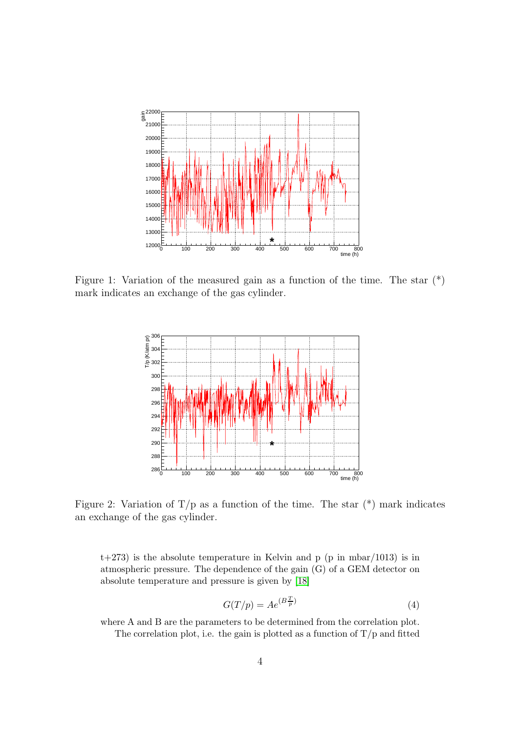

Figure 1: Variation of the measured gain as a function of the time. The star (\*) mark indicates an exchange of the gas cylinder.

<span id="page-3-0"></span>

<span id="page-3-1"></span>Figure 2: Variation of  $T/p$  as a function of the time. The star  $(*)$  mark indicates an exchange of the gas cylinder.

 $t+273$ ) is the absolute temperature in Kelvin and p (p in mbar/1013) is in atmospheric pressure. The dependence of the gain (G) of a GEM detector on absolute temperature and pressure is given by [\[18\]](#page-7-9)

$$
G(T/p) = Ae^{(B\frac{T}{p})}
$$
\n<sup>(4)</sup>

where A and B are the parameters to be determined from the correlation plot. The correlation plot, i.e. the gain is plotted as a function of  $T/p$  and fitted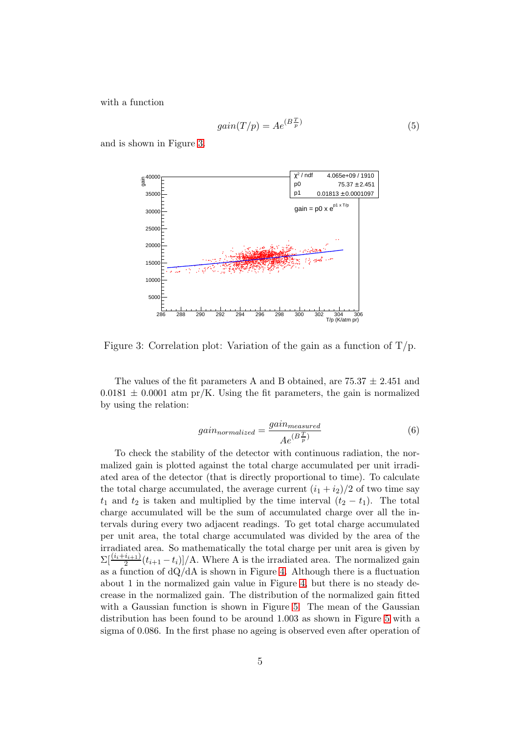with a function

$$
gain(T/p) = Ae^{(B\frac{T}{p})}
$$
\n<sup>(5)</sup>

and is shown in Figure [3.](#page-4-0)



<span id="page-4-0"></span>Figure 3: Correlation plot: Variation of the gain as a function of  $T/p$ .

The values of the fit parameters A and B obtained, are  $75.37 \pm 2.451$  and  $0.0181 \pm 0.0001$  atm pr/K. Using the fit parameters, the gain is normalized by using the relation:

$$
gain_{normalized} = \frac{gain_{measured}}{Ae^{(B\frac{T}{p})}}
$$
(6)

To check the stability of the detector with continuous radiation, the normalized gain is plotted against the total charge accumulated per unit irradiated area of the detector (that is directly proportional to time). To calculate the total charge accumulated, the average current  $(i_1 + i_2)/2$  of two time say  $t_1$  and  $t_2$  is taken and multiplied by the time interval  $(t_2 - t_1)$ . The total charge accumulated will be the sum of accumulated charge over all the intervals during every two adjacent readings. To get total charge accumulated per unit area, the total charge accumulated was divided by the area of the irradiated area. So mathematically the total charge per unit area is given by  $\sum_{i}^{\lfloor (i+i+1)/2 \rfloor} (t_{i+1} - t_i) / A$ . Where A is the irradiated area. The normalized gain as a function of  $dQ/dA$  is shown in Figure [4.](#page-5-0) Although there is a fluctuation about 1 in the normalized gain value in Figure [4,](#page-5-0) but there is no steady decrease in the normalized gain. The distribution of the normalized gain fitted with a Gaussian function is shown in Figure [5.](#page-5-1) The mean of the Gaussian distribution has been found to be around 1.003 as shown in Figure [5](#page-5-1) with a sigma of 0.086. In the first phase no ageing is observed even after operation of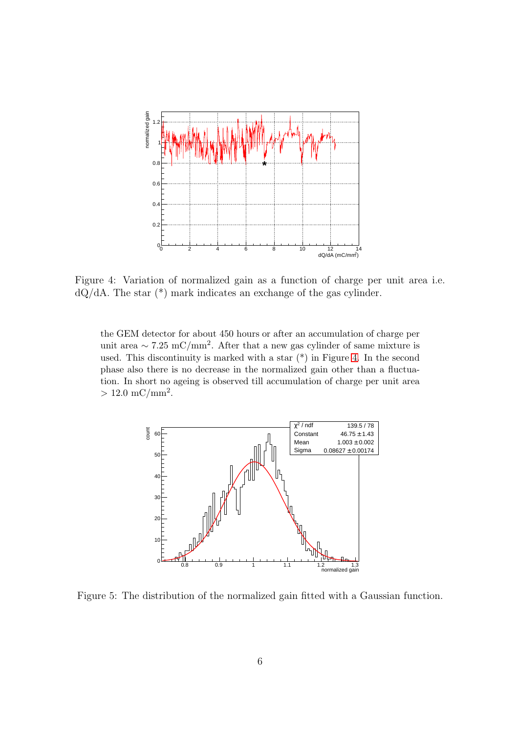

<span id="page-5-0"></span>Figure 4: Variation of normalized gain as a function of charge per unit area i.e. dQ/dA. The star (\*) mark indicates an exchange of the gas cylinder.

the GEM detector for about 450 hours or after an accumulation of charge per unit area ~ 7.25 mC/mm<sup>2</sup>. After that a new gas cylinder of same mixture is used. This discontinuity is marked with a star (\*) in Figure [4.](#page-5-0) In the second phase also there is no decrease in the normalized gain other than a fluctuation. In short no ageing is observed till accumulation of charge per unit area  $> 12.0 \text{ mC/mm}^2$ .



<span id="page-5-1"></span>Figure 5: The distribution of the normalized gain fitted with a Gaussian function.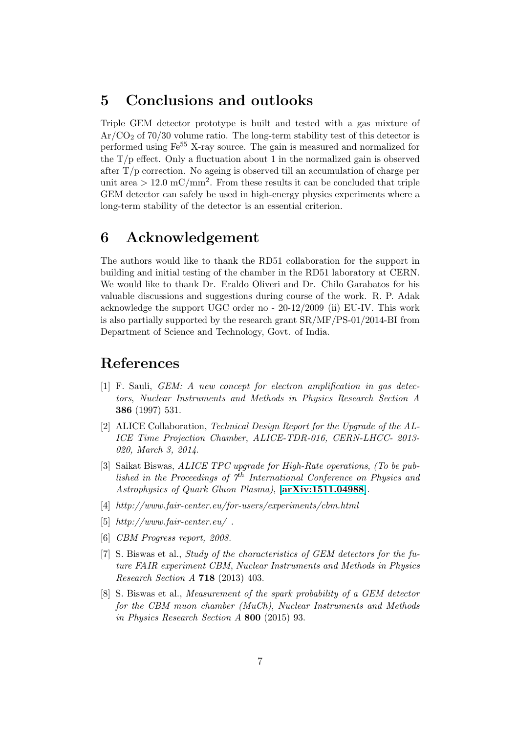# 5 Conclusions and outlooks

Triple GEM detector prototype is built and tested with a gas mixture of  $Ar/CO<sub>2</sub>$  of 70/30 volume ratio. The long-term stability test of this detector is performed using Fe<sup>55</sup> X-ray source. The gain is measured and normalized for the  $T/p$  effect. Only a fluctuation about 1 in the normalized gain is observed after  $T/p$  correction. No ageing is observed till an accumulation of charge per unit area  $> 12.0$  mC/mm<sup>2</sup>. From these results it can be concluded that triple GEM detector can safely be used in high-energy physics experiments where a long-term stability of the detector is an essential criterion.

# 6 Acknowledgement

The authors would like to thank the RD51 collaboration for the support in building and initial testing of the chamber in the RD51 laboratory at CERN. We would like to thank Dr. Eraldo Oliveri and Dr. Chilo Garabatos for his valuable discussions and suggestions during course of the work. R. P. Adak acknowledge the support UGC order no - 20-12/2009 (ii) EU-IV. This work is also partially supported by the research grant SR/MF/PS-01/2014-BI from Department of Science and Technology, Govt. of India.

# <span id="page-6-0"></span>References

- [1] F. Sauli, *GEM: A new concept for electron amplification in gas detectors*, *Nuclear Instruments and Methods in Physics Research Section A* 386 (1997) 531.
- <span id="page-6-1"></span>[2] ALICE Collaboration, *Technical Design Report for the Upgrade of the AL-ICE Time Projection Chamber*, *ALICE-TDR-016, CERN-LHCC- 2013- 020, March 3, 2014*.
- <span id="page-6-2"></span>[3] Saikat Biswas, *ALICE TPC upgrade for High-Rate operations*, *(To be published in the Proceedings of 7*th *International Conference on Physics and Astrophysics of Quark Gluon Plasma)*, [\[arXiv:1511.04988\]](http://arxiv.org/abs/1511.04988).
- <span id="page-6-4"></span><span id="page-6-3"></span>[4] *http://www.fair-center.eu/for-users/experiments/cbm.html*
- <span id="page-6-5"></span>[5] *http://www.fair-center.eu/* .
- <span id="page-6-6"></span>[6] *CBM Progress report, 2008.*
- [7] S. Biswas et al., *Study of the characteristics of GEM detectors for the future FAIR experiment CBM*, *Nuclear Instruments and Methods in Physics Research Section A* 718 (2013) 403.
- <span id="page-6-7"></span>[8] S. Biswas et al., *Measurement of the spark probability of a GEM detector for the CBM muon chamber (MuCh)*, *Nuclear Instruments and Methods in Physics Research Section A* 800 (2015) 93.